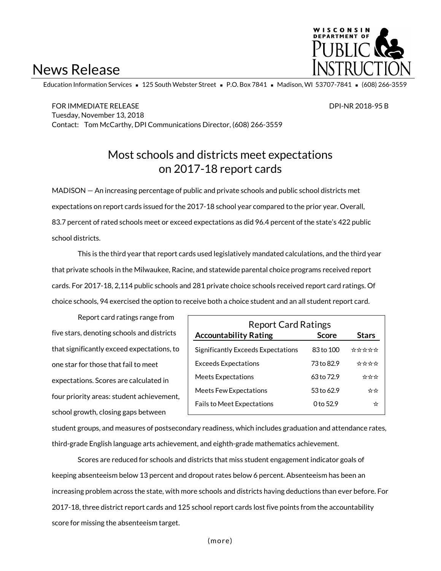# News Release



Education Information Services = 125 South Webster Street = P.O. Box 7841 = Madison, WI 53707-7841 = (608) 266-3559

FOR IMMEDIATE RELEASE DPI-NR 2018-95 B Tuesday, November 13, 2018 Contact: Tom McCarthy, DPI Communications Director, (608) 266-3559

### Most schools and districts meet expectations on 2017-18 report cards

MADISON — An increasing percentage of public and private schools and public school districts met expectations on report cards issued for the 2017-18 school year compared to the prior year. Overall, 83.7 percent of rated schools meet or exceed expectations as did 96.4 percent of the state's 422 public school districts.

This is the third year that report cards used legislatively mandated calculations, and the third year that private schools in the Milwaukee, Racine, and statewide parental choice programs received report cards. For 2017-18, 2,114 public schools and 281 private choice schools received report card ratings. Of choice schools, 94 exercised the option to receive both a choice student and an all student report card.

Report card ratings range from five stars, denoting schools and districts that significantly exceed expectations, to one star for those that fail to meet expectations. Scores are calculated in four priority areas: student achievement, school growth, closing gaps between

| <b>Report Card Ratings</b>         |              |              |  |  |  |  |  |
|------------------------------------|--------------|--------------|--|--|--|--|--|
| <b>Accountability Rating</b>       | <b>Score</b> | <b>Stars</b> |  |  |  |  |  |
| Significantly Exceeds Expectations | 83 to 100    | ☆☆☆☆☆        |  |  |  |  |  |
| <b>Exceeds Expectations</b>        | 73 to 82.9   | ****         |  |  |  |  |  |
| <b>Meets Expectations</b>          | 63 to 72.9   | ☆☆☆          |  |  |  |  |  |
| <b>Meets Few Expectations</b>      | 53 to 62.9   | ☆☆           |  |  |  |  |  |
| <b>Fails to Meet Expectations</b>  | 0 to 52.9    | ☆            |  |  |  |  |  |

student groups, and measures of postsecondary readiness, which includes graduation and attendance rates, third-grade English language arts achievement, and eighth-grade mathematics achievement.

Scores are reduced for schools and districts that miss student engagement indicator goals of keeping absenteeism below 13 percent and dropout rates below 6 percent. Absenteeism has been an increasing problem across the state, with more schools and districts having deductions than ever before. For 2017-18, three district report cards and 125 school report cards lost five points from the accountability score for missing the absenteeism target.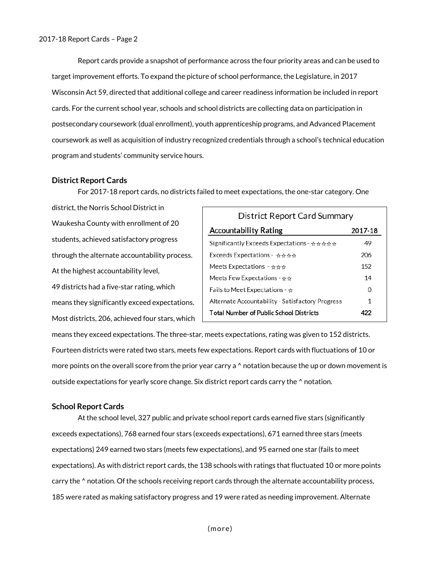Report cards provide a snapshot of performance across the four priority areas and can be used to target improvement efforts. To expand the picture of school performance, the Legislature, in 2017 Wisconsin Act 59, directed that additional college and career readiness information be included in report cards. For the current school year, schools and school districts are collecting data on participation in postsecondary coursework (dual enrollment), youth apprenticeship programs, and Advanced Placement coursework as well as acquisition of industry recognized credentials through a school's technical education program and students' community service hours.

#### **District Report Cards**

For 2017-18 report cards, no districts failed to meet expectations, the one-star category. One

district, the Norris School District in Waukesha County with enrollment of 20 students, achieved satisfactory progress through the alternate accountability process. At the highest accountability level, 49 districts had a five-star rating, which means they significantly exceed expectations. Most districts, 206, achieved four stars, which

| District Report Card Summary                                         |         |  |  |  |  |
|----------------------------------------------------------------------|---------|--|--|--|--|
| <b>Accountability Rating</b>                                         | 2017-18 |  |  |  |  |
| Significantly Exceeds Expectations - $\forall x \forall x \forall x$ | 49      |  |  |  |  |
| $\mathsf{Exceeds\,Expectations}$ - $\star$ $\star$ $\star$ $\star$   | 206     |  |  |  |  |
| Meets Expectations - $\star$ $\star$ $\star$                         | 152     |  |  |  |  |
| Meets Few Expectations - $\star$ $\star$                             | 14      |  |  |  |  |
| Fails to Meet Expectations - $\frac{1}{N}$                           | 0       |  |  |  |  |
| Alternate Accountability - Satisfactory Progress                     | 1       |  |  |  |  |
| <b>Total Number of Public School Districts</b>                       | 477     |  |  |  |  |

means they exceed expectations. The three-star, meets expectations, rating was given to 152 districts. Fourteen districts were rated two stars, meets few expectations. Report cards with fluctuations of 10 or more points on the overall score from the prior year carry a  $\land$  notation because the up or down movement is outside expectations for yearly score change. Six district report cards carry the ^ notation.

#### **School Report Cards**

At the school level, 327 public and private school report cards earned five stars (significantly exceeds expectations), 768 earned four stars (exceeds expectations), 671 earned three stars (meets expectations) 249 earned two stars (meets few expectations), and 95 earned one star (fails to meet expectations). As with district report cards, the 138 schools with ratings that fluctuated 10 or more points carry the ^ notation. Of the schools receiving report cards through the alternate accountability process, 185 were rated as making satisfactory progress and 19 were rated as needing improvement. Alternate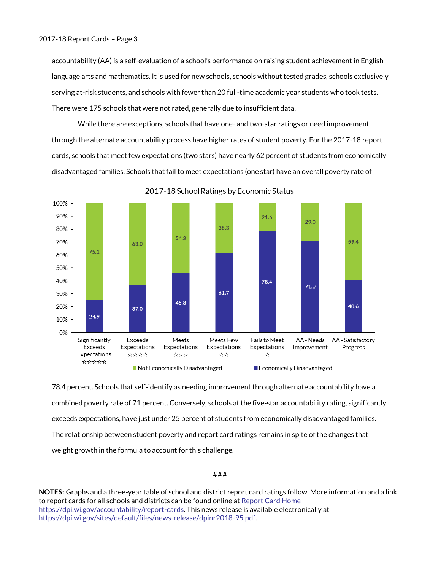accountability (AA) is a self-evaluation of a school's performance on raising student achievement in English language arts and mathematics. It is used for new schools, schools without tested grades, schools exclusively serving at-risk students, and schools with fewer than 20 full-time academic year students who took tests. There were 175 schools that were not rated, generally due to insufficient data.

While there are exceptions, schools that have one- and two-star ratings or need improvement through the alternate accountability process have higher rates of student poverty. For the 2017-18 report cards, schools that meet few expectations (two stars) have nearly 62 percent of students from economically disadvantaged families. Schools that fail to meet expectations (one star) have an overall poverty rate of



2017-18 School Ratings by Economic Status

78.4 percent. Schools that self-identify as needing improvement through alternate accountability have a combined poverty rate of 71 percent. Conversely, schools at the five-star accountability rating, significantly exceeds expectations, have just under 25 percent of students from economically disadvantaged families. The relationship between student poverty and report card ratings remains in spite of the changes that weight growth in the formula to account for this challenge.

#### ###

**NOTES:** Graphs and a three-year table of school and district report card ratings follow. More information and a link to report cards for all schools and districts can be found online a[t Report Card Home](https://dpi.wi.gov/accountability/report-cards) [https://dpi.wi.gov/accountability/report-cards.](https://dpi.wi.gov/accountability/report-cards) This news release is available electronically at [https://dpi.wi.gov/sites/default/files/news-release/dpinr2018-95.pdf.](https://dpi.wi.gov/sites/default/files/news-release/dpinr2018-95.pdf)